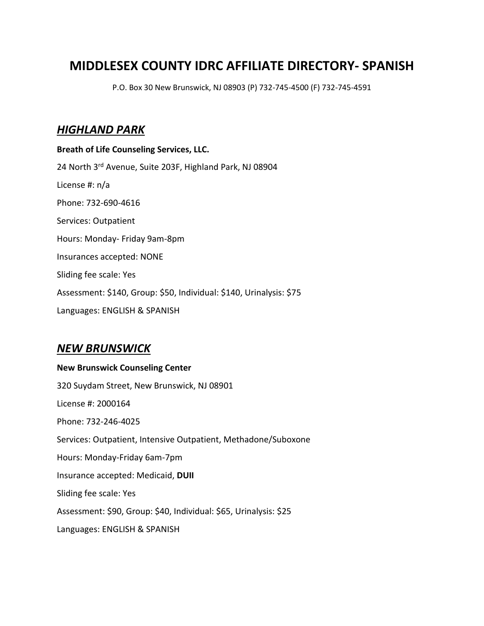## **MIDDLESEX COUNTY IDRC AFFILIATE DIRECTORY- SPANISH**

P.O. Box 30 New Brunswick, NJ 08903 (P) 732-745-4500 (F) 732-745-4591

## *HIGHLAND PARK*

**Breath of Life Counseling Services, LLC.** 24 North 3rd Avenue, Suite 203F, Highland Park, NJ 08904 License #: n/a Phone: 732-690-4616 Services: Outpatient Hours: Monday- Friday 9am-8pm Insurances accepted: NONE Sliding fee scale: Yes Assessment: \$140, Group: \$50, Individual: \$140, Urinalysis: \$75 Languages: ENGLISH & SPANISH

## *NEW BRUNSWICK*

# **New Brunswick Counseling Center** 320 Suydam Street, New Brunswick, NJ 08901 License #: 2000164 Phone: 732-246-4025 Services: Outpatient, Intensive Outpatient, Methadone/Suboxone Hours: Monday-Friday 6am-7pm Insurance accepted: Medicaid, **DUII** Sliding fee scale: Yes Assessment: \$90, Group: \$40, Individual: \$65, Urinalysis: \$25 Languages: ENGLISH & SPANISH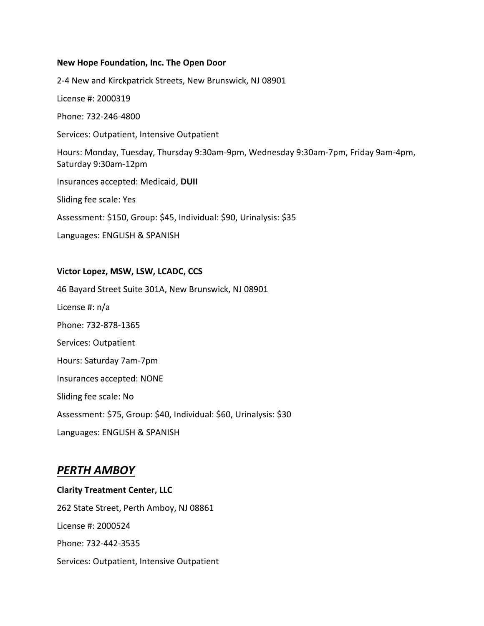#### **New Hope Foundation, Inc. The Open Door**

2-4 New and Kirckpatrick Streets, New Brunswick, NJ 08901

License #: 2000319

Phone: 732-246-4800

Services: Outpatient, Intensive Outpatient

Hours: Monday, Tuesday, Thursday 9:30am-9pm, Wednesday 9:30am-7pm, Friday 9am-4pm, Saturday 9:30am-12pm

Insurances accepted: Medicaid, **DUII**

Sliding fee scale: Yes

Assessment: \$150, Group: \$45, Individual: \$90, Urinalysis: \$35

Languages: ENGLISH & SPANISH

#### **Victor Lopez, MSW, LSW, LCADC, CCS**

46 Bayard Street Suite 301A, New Brunswick, NJ 08901 License #: n/a Phone: 732-878-1365 Services: Outpatient Hours: Saturday 7am-7pm Insurances accepted: NONE Sliding fee scale: No Assessment: \$75, Group: \$40, Individual: \$60, Urinalysis: \$30 Languages: ENGLISH & SPANISH

### *PERTH AMBOY*

**Clarity Treatment Center, LLC** 262 State Street, Perth Amboy, NJ 08861 License #: 2000524 Phone: 732-442-3535 Services: Outpatient, Intensive Outpatient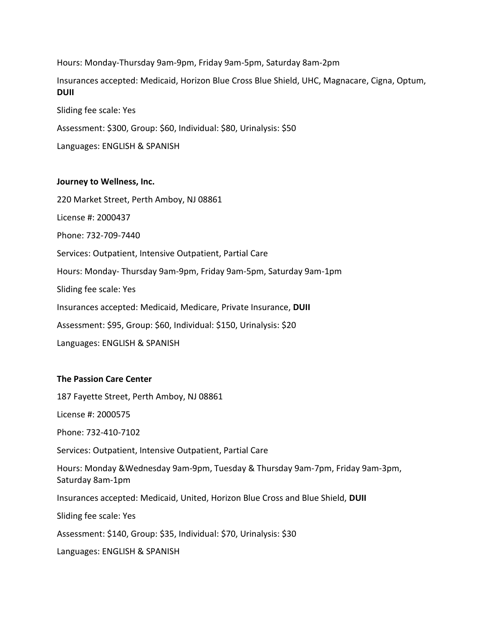Hours: Monday-Thursday 9am-9pm, Friday 9am-5pm, Saturday 8am-2pm Insurances accepted: Medicaid, Horizon Blue Cross Blue Shield, UHC, Magnacare, Cigna, Optum, **DUII** Sliding fee scale: Yes Assessment: \$300, Group: \$60, Individual: \$80, Urinalysis: \$50

Languages: ENGLISH & SPANISH

#### **Journey to Wellness, Inc.**

220 Market Street, Perth Amboy, NJ 08861

License #: 2000437

Phone: 732-709-7440

Services: Outpatient, Intensive Outpatient, Partial Care

Hours: Monday- Thursday 9am-9pm, Friday 9am-5pm, Saturday 9am-1pm

Sliding fee scale: Yes

Insurances accepted: Medicaid, Medicare, Private Insurance, **DUII**

Assessment: \$95, Group: \$60, Individual: \$150, Urinalysis: \$20

Languages: ENGLISH & SPANISH

### **The Passion Care Center**

187 Fayette Street, Perth Amboy, NJ 08861

License #: 2000575

Phone: 732-410-7102

Services: Outpatient, Intensive Outpatient, Partial Care

Hours: Monday &Wednesday 9am-9pm, Tuesday & Thursday 9am-7pm, Friday 9am-3pm, Saturday 8am-1pm

Insurances accepted: Medicaid, United, Horizon Blue Cross and Blue Shield, **DUII**

Sliding fee scale: Yes

Assessment: \$140, Group: \$35, Individual: \$70, Urinalysis: \$30

Languages: ENGLISH & SPANISH